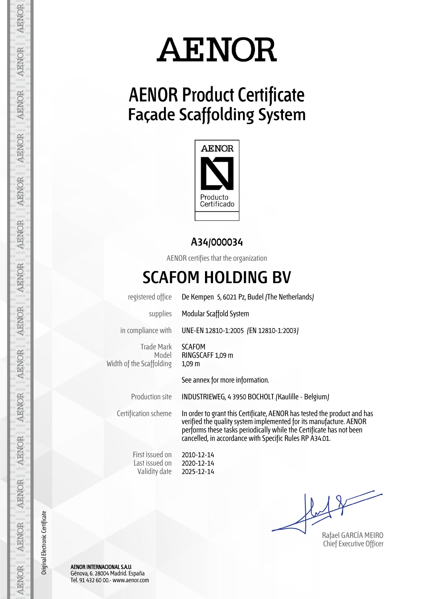### **AENOR Product Certificate Façade Scaffolding System**



#### **A34/000034**

AENOR certifies that the organization

#### **SCAFOM HOLDING BV**

registered office De Kempen 5, 6021 Pz, Budel (The Netherlands)

supplies Modular Scaffold System

in compliance with UNE-EN 12810-1:2005 (EN 12810-1:2003)

Trade Mark Model Width of the Scaffolding

SCAFOM RINGSCAFF 1,09 m 1,09 m

See annex for more information.

Production site INDUSTRIEWEG, 4 3950 BOCHOLT (Kaulille - Belgium)

Certification scheme In order to grant this Certificate, AENOR has tested the product and has verified the quality system implemented for its manufacture. AENOR performs these tasks periodically while the Certificate has not been cancelled, in accordance with Specific Rules RP A34.01.

First issued on Last issued on Validity date

2010-12-14 2020-12-14 2025-12-14

Rafael GARCÍA MEIRO Chief Executive Officer

AENOR INTERNACIONAL S.A.U. Génova, 6. 28004 Madrid. España Tel. 91 432 60 00.- www.aenor.com

Original Electronic Certificate

Original Electronic Certificate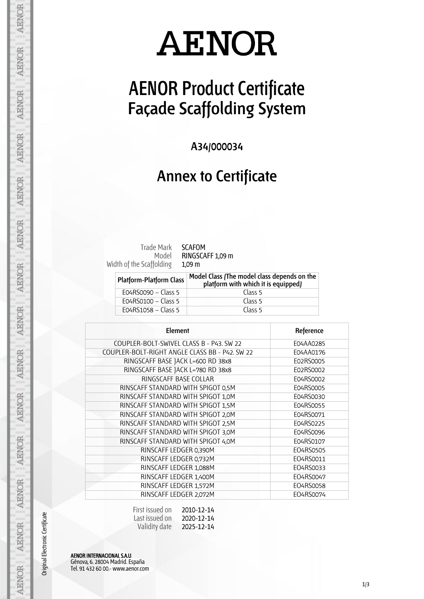## **AENOR Product Certificate Façade Scaffolding System**

**A34/000034**

#### **Annex to Certificate**

Model Width of the Scaffolding

Trade Mark SCAFOM RINGSCAFF 1,09 m 1,09 m

| <b>Platform-Platform Class</b> | Model Class (The model class depends on the<br>platform with which it is equipped) |
|--------------------------------|------------------------------------------------------------------------------------|
| E04RS0090 - Class 5            | Class 5                                                                            |
| EO4RS0100 - Class 5            | Class 5                                                                            |
| E04RS1058 - Class 5            | Class 5                                                                            |

| Element                                        | Reference |
|------------------------------------------------|-----------|
| COUPLER-BOLT-SWIVEL CLASS B - P43. SW 22       | E04AA0285 |
| COUPLER-BOLT-RIGHT ANGLE CLASS BB - P42. SW 22 | E04AA0176 |
| RINGSCAFF BASE JACK L=600 RD 38x8              | E02RS0005 |
| RINGSCAFF BASE JACK L=780 RD 38x8              | E02RS0002 |
| RINGSCAFF BASE COLLAR                          | E04RS0002 |
| RINSCAFF STANDARD WITH SPIGOT 0,5M             | E04RS0005 |
| RINSCAFF STANDARD WITH SPIGOT 1,0M             | E04RS0030 |
| RINSCAFF STANDARD WITH SPIGOT 1,5M             | E04RS0055 |
| RINSCAFF STANDARD WITH SPIGOT 2,0M             | E04RS0071 |
| RINSCAFF STANDARD WITH SPIGOT 2,5M             | E04RS0225 |
| RINSCAFF STANDARD WITH SPIGOT 3,0M             | E04RS0096 |
| RINSCAFF STANDARD WITH SPIGOT 4,0M             | E04RS0107 |
| RINSCAFF LEDGER 0,390M                         | EO4RS0505 |
| RINSCAFF LEDGER 0,732M                         | E04RS0011 |
| RINSCAFF LEDGER 1,088M                         | EO4RS0033 |
| RINSCAFF LEDGER 1,400M                         | EO4RS0047 |
| RINSCAFF LEDGER 1,572M                         | EO4RS0058 |
| RINSCAFF LEDGER 2,072M                         | E04RS0074 |

| First issued on | 2010-12-14 |
|-----------------|------------|
| Last issued on  | 2020-12-14 |
| Validity date   | 2025-12-14 |

AENOR INTERNACIONAL S.A.U. Génova, 6. 28004 Madrid. España Tel. 91 432 60 00.- www.aenor.com

Original Electronic Certificate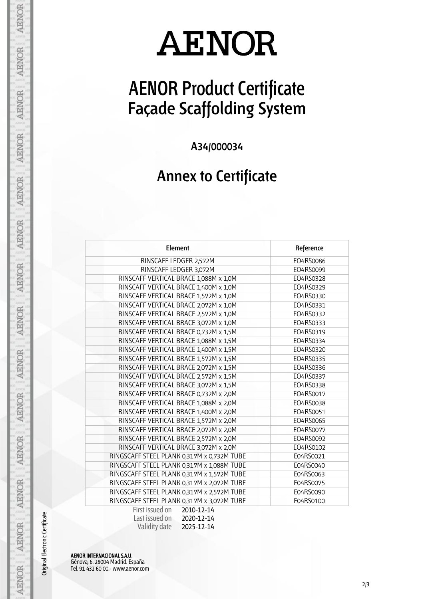## **AENOR Product Certificate Façade Scaffolding System**

**A34/000034**

### **Annex to Certificate**

| Element                                    | Reference |
|--------------------------------------------|-----------|
| RINSCAFF LEDGER 2,572M                     | EO4RS0086 |
| RINSCAFF LEDGER 3,072M                     | EO4RS0099 |
| RINSCAFF VERTICAL BRACE 1,088M x 1,0M      | EO4RS0328 |
| RINSCAFF VERTICAL BRACE 1,400M x 1,0M      | EO4RS0329 |
| RINSCAFF VERTICAL BRACE 1,572M x 1,0M      | EO4RS0330 |
| RINSCAFF VERTICAL BRACE 2,072M x 1,0M      | EO4RS0331 |
| RINSCAFF VERTICAL BRACE 2,572M x 1,0M      | EO4RS0332 |
| RINSCAFF VERTICAL BRACE 3,072M x 1,0M      | EO4RS0333 |
| RINSCAFF VERTICAL BRACE 0,732M x 1,5M      | EO4RS0319 |
| RINSCAFF VERTICAL BRACE 1,088M x 1,5M      | EO4RS0334 |
| RINSCAFF VERTICAL BRACE 1,400M x 1,5M      | EO4RS0320 |
| RINSCAFF VERTICAL BRACE 1,572M x 1,5M      | EO4RS0335 |
| RINSCAFF VERTICAL BRACE 2,072M x 1,5M      | EO4RS0336 |
| RINSCAFF VERTICAL BRACE 2,572M x 1,5M      | EO4RS0337 |
| RINSCAFF VERTICAL BRACE 3,072M x 1,5M      | EO4RS0338 |
| RINSCAFF VERTICAL BRACE 0,732M x 2,0M      | EO4RS0017 |
| RINSCAFF VERTICAL BRACE 1,088M x 2,0M      | EO4RS0038 |
| RINSCAFF VERTICAL BRACE 1,400M x 2,0M      | EO4RS0051 |
| RINSCAFF VERTICAL BRACE 1,572M x 2,0M      | EO4RS0065 |
| RINSCAFF VERTICAL BRACE 2,072M x 2,0M      | EO4RS0077 |
| RINSCAFF VERTICAL BRACE 2,572M x 2,0M      | EO4RS0092 |
| RINSCAFF VERTICAL BRACE 3,072M x 2,0M      | EO4RS0102 |
| RINGSCAFF STEEL PLANK 0,317M x 0,732M TUBE | E04RS0021 |
| RINGSCAFF STEEL PLANK 0,317M x 1,088M TUBE | E04RS0040 |
| RINGSCAFF STEEL PLANK 0,317M x 1,572M TUBE | E04RS0063 |
| RINGSCAFF STEEL PLANK 0,317M x 2,072M TUBE | E04RS0075 |
| RINGSCAFF STEEL PLANK 0,317M x 2,572M TUBE | E04RS0090 |
| RINGSCAFF STEEL PLANK 0,317M x 3,072M TUBE | E04RS0100 |
| First issued on<br>2010-12-14              |           |
| $l$ acticcuad on $2020.121$                |           |

| Last issued on | 2020-12-14 |
|----------------|------------|
| Validity date  | 2025-12-14 |

AENOR INTERNACIONAL S.A.U. Génova, 6. 28004 Madrid. España Tel. 91 432 60 00.- www.aenor.com

Original Electronic Certificate

**AENOR** 

**AENOR** 

**AENOR** 

**AENOR** 

**AENOR** 

**AENOR** 

**AENOR** 

**AENOR** 

**AENOR** 

AENOR

**AENOR** 

AENOR

AENOR

**AENOR**